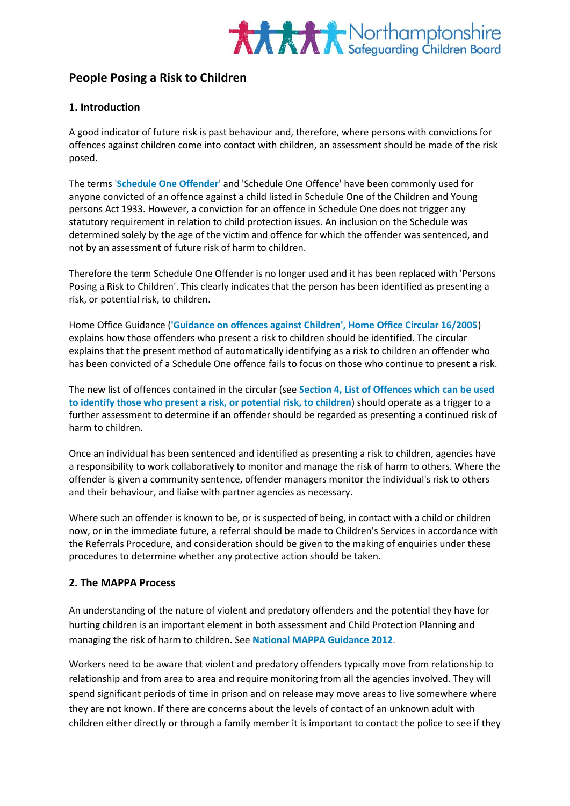

## **People Posing a Risk to Children**

### **1. Introduction**

A good indicator of future risk is past behaviour and, therefore, where persons with convictions for offences against children come into contact with children, an assessment should be made of the risk posed.

The terms '**[Schedule One Offender](http://www.proceduresonline.com/resources/keywords_online/nat_key/keywords/schedule_one_offender.html)**' and 'Schedule One Offence' have been commonly used for anyone convicted of an offence against a child listed in Schedule One of the Children and Young persons Act 1933. However, a conviction for an offence in Schedule One does not trigger any statutory requirement in relation to child protection issues. An inclusion on the Schedule was determined solely by the age of the victim and offence for which the offender was sentenced, and not by an assessment of future risk of harm to children.

Therefore the term Schedule One Offender is no longer used and it has been replaced with 'Persons Posing a Risk to Children'. This clearly indicates that the person has been identified as presenting a risk, or potential risk, to children.

Home Office Guidance (**['Guidance on offences against Children', Home Office Circular 16/2005](https://www.gov.uk/government/publications/guidance-on-offences-against-children)**) explains how those offenders who present a risk to children should be identified. The circular explains that the present method of automatically identifying as a risk to children an offender who has been convicted of a Schedule One offence fails to focus on those who continue to present a risk.

The new list of offences contained in the circular (see **Section 4, List of Offences which can be used to identify those who present a risk, or potential risk, to children**) should operate as a trigger to a further assessment to determine if an offender should be regarded as presenting a continued risk of harm to children.

Once an individual has been sentenced and identified as presenting a risk to children, agencies have a responsibility to work collaboratively to monitor and manage the risk of harm to others. Where the offender is given a community sentence, offender managers monitor the individual's risk to others and their behaviour, and liaise with partner agencies as necessary.

Where such an offender is known to be, or is suspected of being, in contact with a child or children now, or in the immediate future, a referral should be made to Children's Services in accordance with the Referrals Procedure, and consideration should be given to the making of enquiries under these procedures to determine whether any protective action should be taken.

### **2. The MAPPA Process**

An understanding of the nature of violent and predatory offenders and the potential they have for hurting children is an important element in both assessment and Child Protection Planning and managing the risk of harm to children. See **[National MAPPA Guidance 2012](http://www.justice.gov.uk/downloads/offenders/mappa/mappa-guidance-2012-part1.pdf)**.

Workers need to be aware that violent and predatory offenders typically move from relationship to relationship and from area to area and require monitoring from all the agencies involved. They will spend significant periods of time in prison and on release may move areas to live somewhere where they are not known. If there are concerns about the levels of contact of an unknown adult with children either directly or through a family member it is important to contact the police to see if they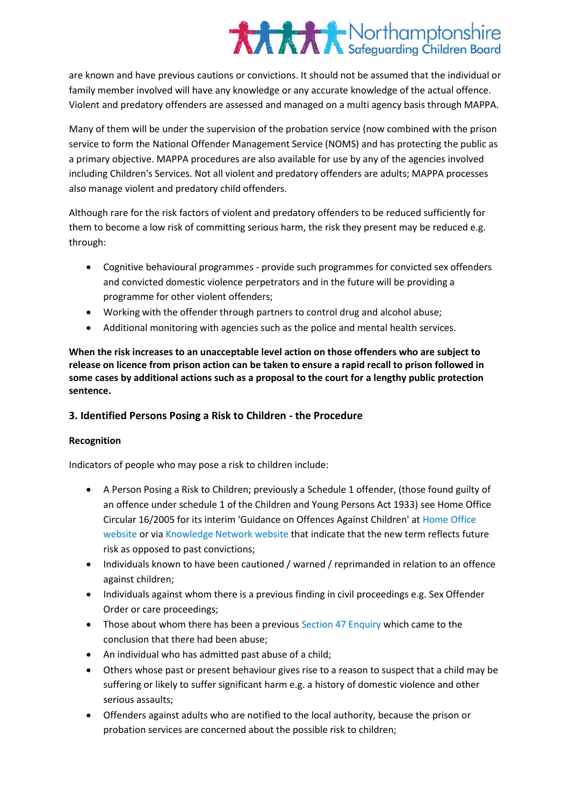are known and have previous cautions or convictions. It should not be assumed that the individual or family member involved will have any knowledge or any accurate knowledge of the actual offence. Violent and predatory offenders are assessed and managed on a multi agency basis through MAPPA.

Many of them will be under the supervision of the probation service (now combined with the prison service to form the National Offender Management Service (NOMS) and has protecting the public as a primary objective. MAPPA procedures are also available for use by any of the agencies involved including Children's Services. Not all violent and predatory offenders are adults; MAPPA processes also manage violent and predatory child offenders.

Although rare for the risk factors of violent and predatory offenders to be reduced sufficiently for them to become a low risk of committing serious harm, the risk they present may be reduced e.g. through:

- Cognitive behavioural programmes provide such programmes for convicted sex offenders and convicted domestic violence perpetrators and in the future will be providing a programme for other violent offenders;
- Working with the offender through partners to control drug and alcohol abuse;
- Additional monitoring with agencies such as the police and mental health services.

**When the risk increases to an unacceptable level action on those offenders who are subject to release on licence from prison action can be taken to ensure a rapid recall to prison followed in some cases by additional actions such as a proposal to the court for a lengthy public protection sentence.**

### **3. Identified Persons Posing a Risk to Children - the Procedure**

### **Recognition**

Indicators of people who may pose a risk to children include:

- A Person Posing a Risk to Children; previously a Schedule 1 offender, (those found guilty of an offence under schedule 1 of the Children and Young Persons Act 1933) see Home Office Circular 16/2005 for its interim 'Guidance on Offences Against Children' at [Home Office](http://www.homeoffice.gov.uk/)  [website](http://www.homeoffice.gov.uk/) or via Knowledge [Network website](http://www.knowledge.scot.nhs.uk/home.aspx) that indicate that the new term reflects future risk as opposed to past convictions;
- Individuals known to have been cautioned / warned / reprimanded in relation to an offence against children;
- Individuals against whom there is a previous finding in civil proceedings e.g. Sex Offender Order or care proceedings;
- Those about whom there has been a previous [Section 47 Enquiry](http://www.proceduresonline.com/resources/keywords_online/nat_key/keywords/sec_47_enq.html) which came to the conclusion that there had been abuse;
- An individual who has admitted past abuse of a child;
- Others whose past or present behaviour gives rise to a reason to suspect that a child may be suffering or likely to suffer significant harm e.g. a history of domestic violence and other serious assaults;
- Offenders against adults who are notified to the local authority, because the prison or probation services are concerned about the possible risk to children;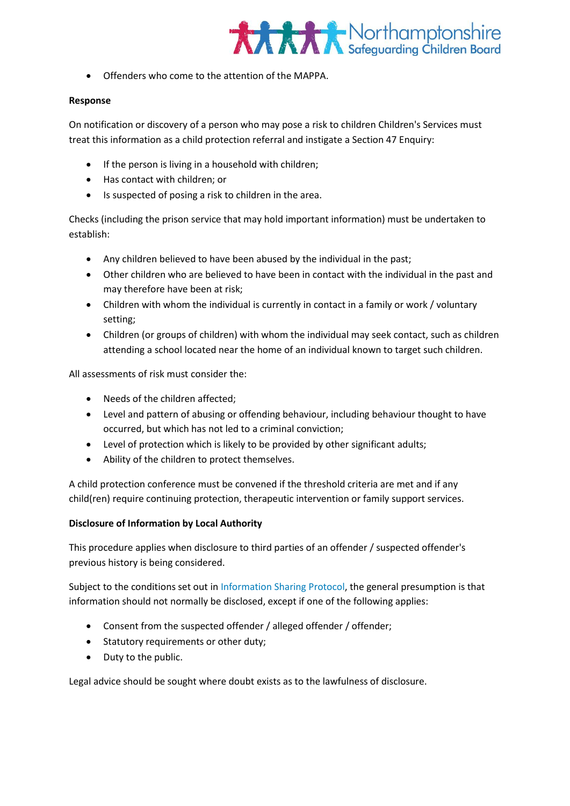

Offenders who come to the attention of the MAPPA.

#### **Response**

On notification or discovery of a person who may pose a risk to children Children's Services must treat this information as a child protection referral and instigate a Section 47 Enquiry:

- If the person is living in a household with children;
- Has contact with children; or
- Is suspected of posing a risk to children in the area.

Checks (including the prison service that may hold important information) must be undertaken to establish:

- Any children believed to have been abused by the individual in the past;
- Other children who are believed to have been in contact with the individual in the past and may therefore have been at risk;
- Children with whom the individual is currently in contact in a family or work / voluntary setting;
- Children (or groups of children) with whom the individual may seek contact, such as children attending a school located near the home of an individual known to target such children.

All assessments of risk must consider the:

- Needs of the children affected:
- Level and pattern of abusing or offending behaviour, including behaviour thought to have occurred, but which has not led to a criminal conviction;
- Level of protection which is likely to be provided by other significant adults;
- Ability of the children to protect themselves.

A child protection conference must be convened if the threshold criteria are met and if any child(ren) require continuing protection, therapeutic intervention or family support services.

### **Disclosure of Information by Local Authority**

This procedure applies when disclosure to third parties of an offender / suspected offender's previous history is being considered.

Subject to the conditions set out i[n Information Sharing Protocol,](http://northamptonshirescb.proceduresonline.com/chapters/pr_info_sharing.html) the general presumption is that information should not normally be disclosed, except if one of the following applies:

- Consent from the suspected offender / alleged offender / offender;
- Statutory requirements or other duty;
- Duty to the public.

Legal advice should be sought where doubt exists as to the lawfulness of disclosure.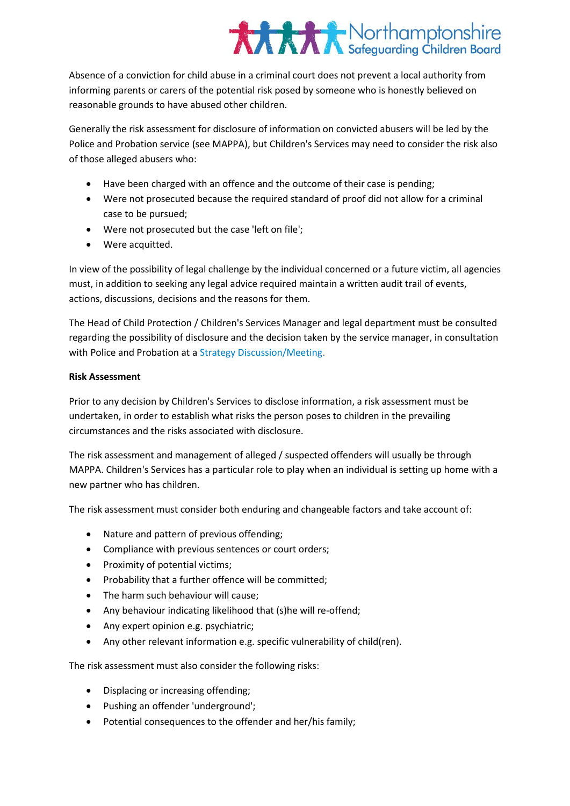Absence of a conviction for child abuse in a criminal court does not prevent a local authority from informing parents or carers of the potential risk posed by someone who is honestly believed on reasonable grounds to have abused other children.

Generally the risk assessment for disclosure of information on convicted abusers will be led by the Police and Probation service (see MAPPA), but Children's Services may need to consider the risk also of those alleged abusers who:

- Have been charged with an offence and the outcome of their case is pending;
- Were not prosecuted because the required standard of proof did not allow for a criminal case to be pursued;
- Were not prosecuted but the case 'left on file';
- Were acquitted.

In view of the possibility of legal challenge by the individual concerned or a future victim, all agencies must, in addition to seeking any legal advice required maintain a written audit trail of events, actions, discussions, decisions and the reasons for them.

The Head of Child Protection / Children's Services Manager and legal department must be consulted regarding the possibility of disclosure and the decision taken by the service manager, in consultation with Police and Probation at [a Strategy Discussion/Meeting.](http://trixresources.proceduresonline.com/nat_key/keywords/strategy_discussion_meeting.html)

### **Risk Assessment**

Prior to any decision by Children's Services to disclose information, a risk assessment must be undertaken, in order to establish what risks the person poses to children in the prevailing circumstances and the risks associated with disclosure.

The risk assessment and management of alleged / suspected offenders will usually be through MAPPA. Children's Services has a particular role to play when an individual is setting up home with a new partner who has children.

The risk assessment must consider both enduring and changeable factors and take account of:

- Nature and pattern of previous offending;
- Compliance with previous sentences or court orders;
- Proximity of potential victims;
- Probability that a further offence will be committed;
- The harm such behaviour will cause:
- Any behaviour indicating likelihood that (s)he will re-offend;
- Any expert opinion e.g. psychiatric;
- Any other relevant information e.g. specific vulnerability of child(ren).

The risk assessment must also consider the following risks:

- Displacing or increasing offending;
- Pushing an offender 'underground';
- Potential consequences to the offender and her/his family;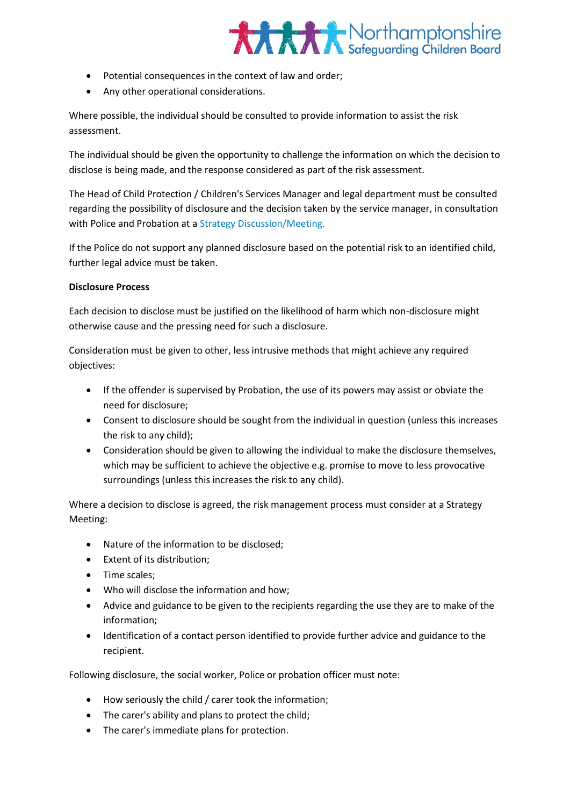

- Potential consequences in the context of law and order;
- Any other operational considerations.

Where possible, the individual should be consulted to provide information to assist the risk assessment.

The individual should be given the opportunity to challenge the information on which the decision to disclose is being made, and the response considered as part of the risk assessment.

The Head of Child Protection / Children's Services Manager and legal department must be consulted regarding the possibility of disclosure and the decision taken by the service manager, in consultation with Police and Probation at [a Strategy Discussion/Meeting.](http://www.proceduresonline.com/resources/keywords_online/nat_key/keywords/strategy_discussion_meeting.html)

If the Police do not support any planned disclosure based on the potential risk to an identified child, further legal advice must be taken.

### **Disclosure Process**

Each decision to disclose must be justified on the likelihood of harm which non-disclosure might otherwise cause and the pressing need for such a disclosure.

Consideration must be given to other, less intrusive methods that might achieve any required objectives:

- If the offender is supervised by Probation, the use of its powers may assist or obviate the need for disclosure;
- Consent to disclosure should be sought from the individual in question (unless this increases the risk to any child);
- Consideration should be given to allowing the individual to make the disclosure themselves, which may be sufficient to achieve the objective e.g. promise to move to less provocative surroundings (unless this increases the risk to any child).

Where a decision to disclose is agreed, the risk management process must consider at a Strategy Meeting:

- Nature of the information to be disclosed;
- Extent of its distribution;
- Time scales:
- Who will disclose the information and how;
- Advice and guidance to be given to the recipients regarding the use they are to make of the information;
- Identification of a contact person identified to provide further advice and guidance to the recipient.

Following disclosure, the social worker, Police or probation officer must note:

- How seriously the child / carer took the information;
- The carer's ability and plans to protect the child;
- The carer's immediate plans for protection.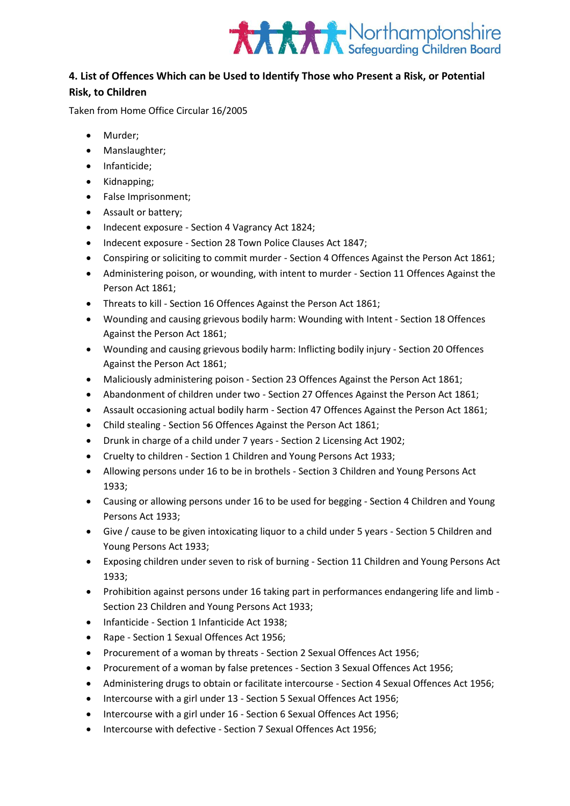

### **4. List of Offences Which can be Used to Identify Those who Present a Risk, or Potential**

### **Risk, to Children**

Taken from Home Office Circular 16/2005

- Murder;
- Manslaughter;
- Infanticide:
- Kidnapping;
- False Imprisonment;
- Assault or battery;
- Indecent exposure Section 4 Vagrancy Act 1824;
- Indecent exposure Section 28 Town Police Clauses Act 1847;
- Conspiring or soliciting to commit murder Section 4 Offences Against the Person Act 1861;
- Administering poison, or wounding, with intent to murder Section 11 Offences Against the Person Act 1861;
- Threats to kill Section 16 Offences Against the Person Act 1861;
- Wounding and causing grievous bodily harm: Wounding with Intent Section 18 Offences Against the Person Act 1861;
- Wounding and causing grievous bodily harm: Inflicting bodily injury Section 20 Offences Against the Person Act 1861;
- Maliciously administering poison Section 23 Offences Against the Person Act 1861;
- Abandonment of children under two Section 27 Offences Against the Person Act 1861;
- Assault occasioning actual bodily harm Section 47 Offences Against the Person Act 1861;
- Child stealing Section 56 Offences Against the Person Act 1861;
- Drunk in charge of a child under 7 years Section 2 Licensing Act 1902;
- Cruelty to children Section 1 Children and Young Persons Act 1933;
- Allowing persons under 16 to be in brothels Section 3 Children and Young Persons Act 1933;
- Causing or allowing persons under 16 to be used for begging Section 4 Children and Young Persons Act 1933;
- Give / cause to be given intoxicating liquor to a child under 5 years Section 5 Children and Young Persons Act 1933;
- Exposing children under seven to risk of burning Section 11 Children and Young Persons Act 1933;
- Prohibition against persons under 16 taking part in performances endangering life and limb Section 23 Children and Young Persons Act 1933;
- Infanticide Section 1 Infanticide Act 1938;
- Rape Section 1 Sexual Offences Act 1956;
- Procurement of a woman by threats Section 2 Sexual Offences Act 1956;
- Procurement of a woman by false pretences Section 3 Sexual Offences Act 1956;
- Administering drugs to obtain or facilitate intercourse Section 4 Sexual Offences Act 1956;
- Intercourse with a girl under 13 Section 5 Sexual Offences Act 1956;
- Intercourse with a girl under 16 Section 6 Sexual Offences Act 1956;
- Intercourse with defective Section 7 Sexual Offences Act 1956;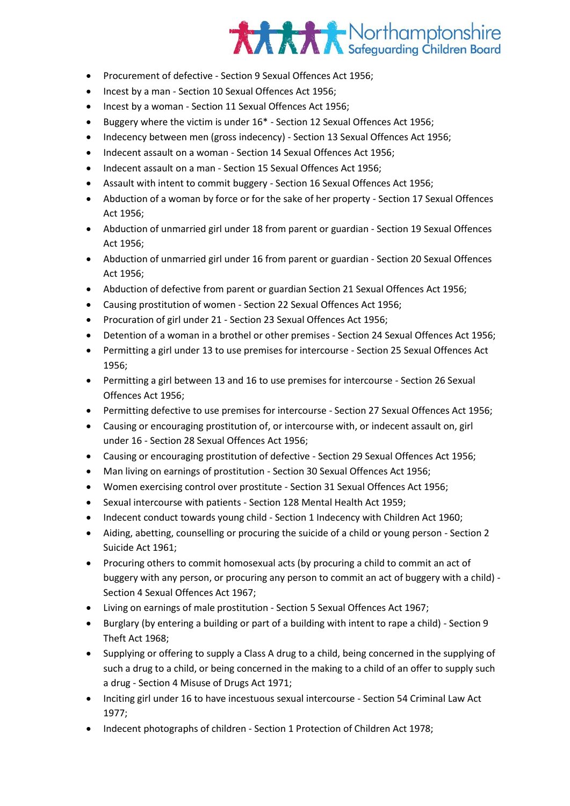- Procurement of defective Section 9 Sexual Offences Act 1956;
- Incest by a man Section 10 Sexual Offences Act 1956;
- Incest by a woman Section 11 Sexual Offences Act 1956;
- Buggery where the victim is under 16\* Section 12 Sexual Offences Act 1956;
- Indecency between men (gross indecency) Section 13 Sexual Offences Act 1956;
- Indecent assault on a woman Section 14 Sexual Offences Act 1956;
- Indecent assault on a man Section 15 Sexual Offences Act 1956;
- Assault with intent to commit buggery Section 16 Sexual Offences Act 1956;
- Abduction of a woman by force or for the sake of her property Section 17 Sexual Offences Act 1956;
- Abduction of unmarried girl under 18 from parent or guardian Section 19 Sexual Offences Act 1956;
- Abduction of unmarried girl under 16 from parent or guardian Section 20 Sexual Offences Act 1956;
- Abduction of defective from parent or guardian Section 21 Sexual Offences Act 1956;
- Causing prostitution of women Section 22 Sexual Offences Act 1956;
- Procuration of girl under 21 Section 23 Sexual Offences Act 1956;
- Detention of a woman in a brothel or other premises Section 24 Sexual Offences Act 1956;
- Permitting a girl under 13 to use premises for intercourse Section 25 Sexual Offences Act 1956;
- Permitting a girl between 13 and 16 to use premises for intercourse Section 26 Sexual Offences Act 1956;
- Permitting defective to use premises for intercourse Section 27 Sexual Offences Act 1956;
- Causing or encouraging prostitution of, or intercourse with, or indecent assault on, girl under 16 - Section 28 Sexual Offences Act 1956;
- Causing or encouraging prostitution of defective Section 29 Sexual Offences Act 1956;
- Man living on earnings of prostitution Section 30 Sexual Offences Act 1956;
- Women exercising control over prostitute Section 31 Sexual Offences Act 1956;
- Sexual intercourse with patients Section 128 Mental Health Act 1959;
- Indecent conduct towards young child Section 1 Indecency with Children Act 1960;
- Aiding, abetting, counselling or procuring the suicide of a child or young person Section 2 Suicide Act 1961;
- Procuring others to commit homosexual acts (by procuring a child to commit an act of buggery with any person, or procuring any person to commit an act of buggery with a child) - Section 4 Sexual Offences Act 1967;
- Living on earnings of male prostitution Section 5 Sexual Offences Act 1967;
- Burglary (by entering a building or part of a building with intent to rape a child) Section 9 Theft Act 1968;
- Supplying or offering to supply a Class A drug to a child, being concerned in the supplying of such a drug to a child, or being concerned in the making to a child of an offer to supply such a drug - Section 4 Misuse of Drugs Act 1971;
- Inciting girl under 16 to have incestuous sexual intercourse Section 54 Criminal Law Act 1977;
- Indecent photographs of children Section 1 Protection of Children Act 1978;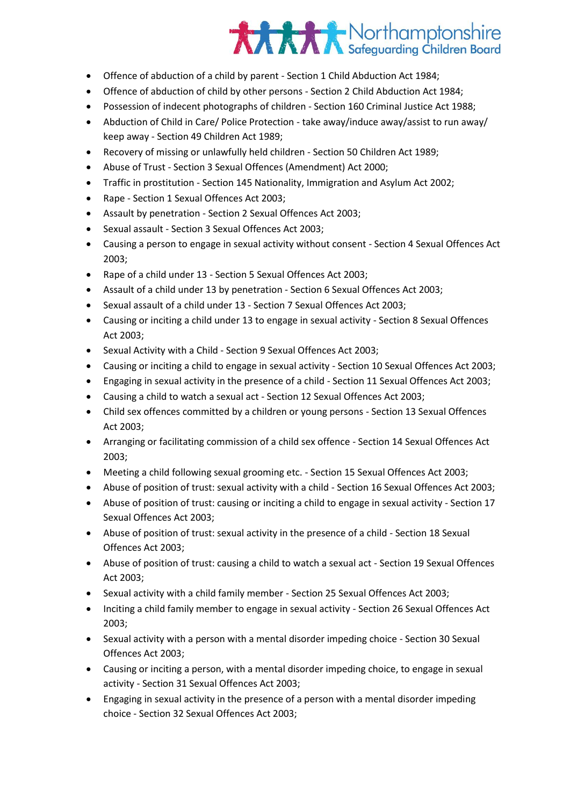- Offence of abduction of a child by parent Section 1 Child Abduction Act 1984;
- Offence of abduction of child by other persons Section 2 Child Abduction Act 1984;
- Possession of indecent photographs of children Section 160 Criminal Justice Act 1988;
- Abduction of Child in Care/ Police Protection take away/induce away/assist to run away/ keep away - Section 49 Children Act 1989;
- Recovery of missing or unlawfully held children Section 50 Children Act 1989;
- Abuse of Trust Section 3 Sexual Offences (Amendment) Act 2000;
- Traffic in prostitution Section 145 Nationality, Immigration and Asylum Act 2002;
- Rape Section 1 Sexual Offences Act 2003;
- Assault by penetration Section 2 Sexual Offences Act 2003;
- Sexual assault Section 3 Sexual Offences Act 2003;
- Causing a person to engage in sexual activity without consent Section 4 Sexual Offences Act 2003;
- Rape of a child under 13 Section 5 Sexual Offences Act 2003;
- Assault of a child under 13 by penetration Section 6 Sexual Offences Act 2003;
- Sexual assault of a child under 13 Section 7 Sexual Offences Act 2003;
- Causing or inciting a child under 13 to engage in sexual activity Section 8 Sexual Offences Act 2003;
- Sexual Activity with a Child Section 9 Sexual Offences Act 2003;
- Causing or inciting a child to engage in sexual activity Section 10 Sexual Offences Act 2003;
- Engaging in sexual activity in the presence of a child Section 11 Sexual Offences Act 2003;
- Causing a child to watch a sexual act Section 12 Sexual Offences Act 2003;
- Child sex offences committed by a children or young persons Section 13 Sexual Offences Act 2003;
- Arranging or facilitating commission of a child sex offence Section 14 Sexual Offences Act 2003;
- Meeting a child following sexual grooming etc. Section 15 Sexual Offences Act 2003;
- Abuse of position of trust: sexual activity with a child Section 16 Sexual Offences Act 2003;
- Abuse of position of trust: causing or inciting a child to engage in sexual activity Section 17 Sexual Offences Act 2003;
- Abuse of position of trust: sexual activity in the presence of a child Section 18 Sexual Offences Act 2003;
- Abuse of position of trust: causing a child to watch a sexual act Section 19 Sexual Offences Act 2003;
- Sexual activity with a child family member Section 25 Sexual Offences Act 2003;
- Inciting a child family member to engage in sexual activity Section 26 Sexual Offences Act 2003;
- Sexual activity with a person with a mental disorder impeding choice Section 30 Sexual Offences Act 2003;
- Causing or inciting a person, with a mental disorder impeding choice, to engage in sexual activity - Section 31 Sexual Offences Act 2003;
- Engaging in sexual activity in the presence of a person with a mental disorder impeding choice - Section 32 Sexual Offences Act 2003;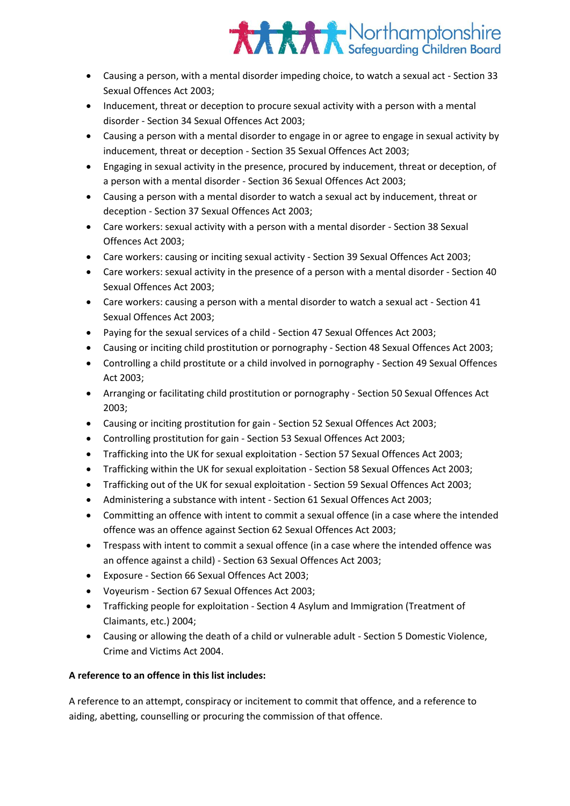

- Causing a person, with a mental disorder impeding choice, to watch a sexual act Section 33 Sexual Offences Act 2003;
- Inducement, threat or deception to procure sexual activity with a person with a mental disorder - Section 34 Sexual Offences Act 2003;
- Causing a person with a mental disorder to engage in or agree to engage in sexual activity by inducement, threat or deception - Section 35 Sexual Offences Act 2003;
- Engaging in sexual activity in the presence, procured by inducement, threat or deception, of a person with a mental disorder - Section 36 Sexual Offences Act 2003;
- Causing a person with a mental disorder to watch a sexual act by inducement, threat or deception - Section 37 Sexual Offences Act 2003;
- Care workers: sexual activity with a person with a mental disorder Section 38 Sexual Offences Act 2003;
- Care workers: causing or inciting sexual activity Section 39 Sexual Offences Act 2003;
- Care workers: sexual activity in the presence of a person with a mental disorder Section 40 Sexual Offences Act 2003;
- Care workers: causing a person with a mental disorder to watch a sexual act Section 41 Sexual Offences Act 2003;
- Paying for the sexual services of a child Section 47 Sexual Offences Act 2003;
- Causing or inciting child prostitution or pornography Section 48 Sexual Offences Act 2003;
- Controlling a child prostitute or a child involved in pornography Section 49 Sexual Offences Act 2003;
- Arranging or facilitating child prostitution or pornography Section 50 Sexual Offences Act 2003;
- Causing or inciting prostitution for gain Section 52 Sexual Offences Act 2003;
- Controlling prostitution for gain Section 53 Sexual Offences Act 2003;
- Trafficking into the UK for sexual exploitation Section 57 Sexual Offences Act 2003;
- Trafficking within the UK for sexual exploitation Section 58 Sexual Offences Act 2003;
- Trafficking out of the UK for sexual exploitation Section 59 Sexual Offences Act 2003;
- Administering a substance with intent Section 61 Sexual Offences Act 2003;
- Committing an offence with intent to commit a sexual offence (in a case where the intended offence was an offence against Section 62 Sexual Offences Act 2003;
- Trespass with intent to commit a sexual offence (in a case where the intended offence was an offence against a child) - Section 63 Sexual Offences Act 2003;
- Exposure Section 66 Sexual Offences Act 2003;
- Voyeurism Section 67 Sexual Offences Act 2003;
- Trafficking people for exploitation Section 4 Asylum and Immigration (Treatment of Claimants, etc.) 2004;
- Causing or allowing the death of a child or vulnerable adult Section 5 Domestic Violence, Crime and Victims Act 2004.

### **A reference to an offence in this list includes:**

A reference to an attempt, conspiracy or incitement to commit that offence, and a reference to aiding, abetting, counselling or procuring the commission of that offence.